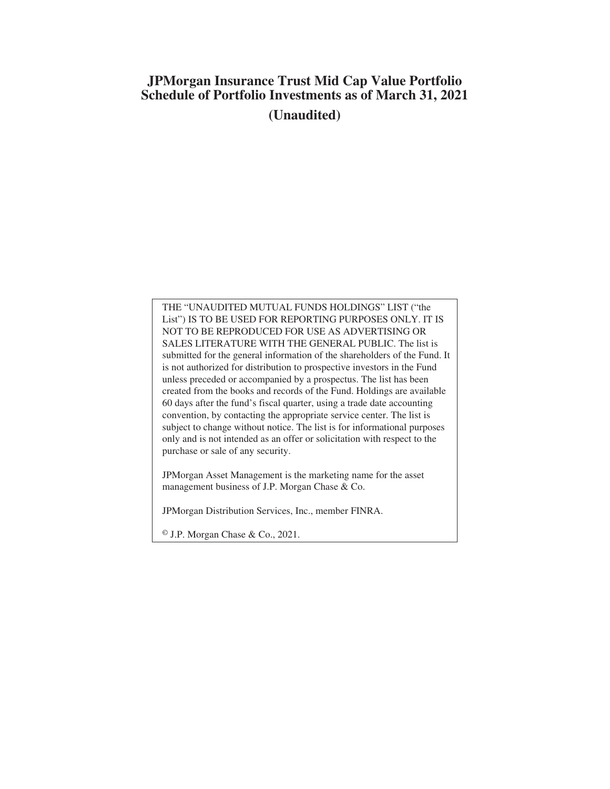# **JPMorgan Insurance Trust Mid Cap Value Portfolio Schedule of Portfolio Investments as of March 31, 2021 (Unaudited)**

THE "UNAUDITED MUTUAL FUNDS HOLDINGS" LIST ("the List") IS TO BE USED FOR REPORTING PURPOSES ONLY. IT IS NOT TO BE REPRODUCED FOR USE AS ADVERTISING OR SALES LITERATURE WITH THE GENERAL PUBLIC. The list is submitted for the general information of the shareholders of the Fund. It is not authorized for distribution to prospective investors in the Fund unless preceded or accompanied by a prospectus. The list has been created from the books and records of the Fund. Holdings are available 60 days after the fund's fiscal quarter, using a trade date accounting convention, by contacting the appropriate service center. The list is subject to change without notice. The list is for informational purposes only and is not intended as an offer or solicitation with respect to the purchase or sale of any security.

JPMorgan Asset Management is the marketing name for the asset management business of J.P. Morgan Chase & Co.

JPMorgan Distribution Services, Inc., member FINRA.

© J.P. Morgan Chase & Co., 2021.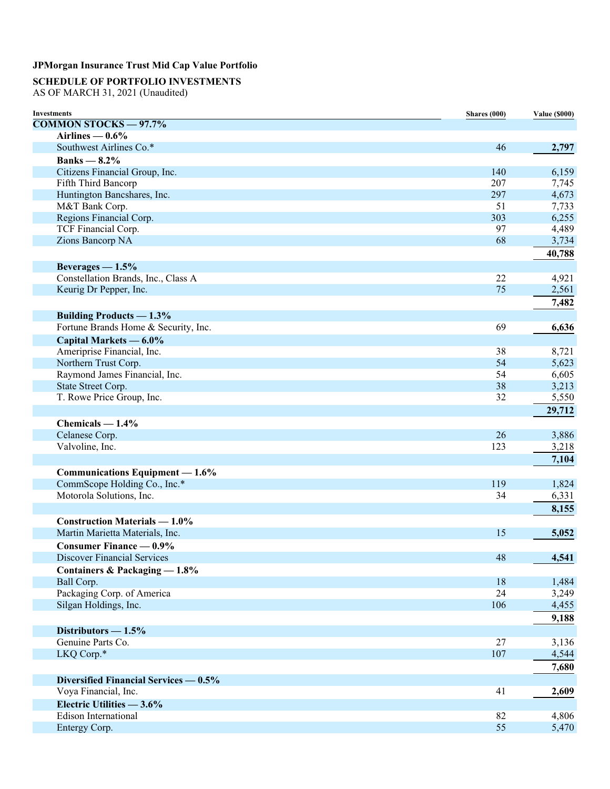# **SCHEDULE OF PORTFOLIO INVESTMENTS**

AS OF MARCH 31, 2021 (Unaudited)

| <b>Investments</b>                    | Shares (000) | <b>Value (\$000)</b> |
|---------------------------------------|--------------|----------------------|
| <b>COMMON STOCKS - 97.7%</b>          |              |                      |
| Airlines $-0.6\%$                     |              |                      |
| Southwest Airlines Co.*               | 46           | 2,797                |
| Banks $-8.2\%$                        |              |                      |
| Citizens Financial Group, Inc.        | 140          | 6,159                |
| Fifth Third Bancorp                   | 207          | 7,745                |
| Huntington Bancshares, Inc.           | 297          | 4,673                |
| M&T Bank Corp.                        | 51           | 7,733                |
| Regions Financial Corp.               | 303          | 6,255                |
| TCF Financial Corp.                   | 97           | 4,489                |
| Zions Bancorp NA                      | 68           | 3,734                |
|                                       |              | 40,788               |
| Beverages $-1.5%$                     |              |                      |
| Constellation Brands, Inc., Class A   | 22           | 4,921                |
| Keurig Dr Pepper, Inc.                | 75           | 2,561                |
|                                       |              |                      |
|                                       |              | 7,482                |
| <b>Building Products — 1.3%</b>       |              |                      |
| Fortune Brands Home & Security, Inc.  | 69           | 6,636                |
| Capital Markets — 6.0%                |              |                      |
| Ameriprise Financial, Inc.            | 38           | 8,721                |
| Northern Trust Corp.                  | 54           | 5,623                |
| Raymond James Financial, Inc.         | 54           | 6,605                |
| State Street Corp.                    | 38           | 3,213                |
| T. Rowe Price Group, Inc.             | 32           | 5,550                |
|                                       |              | 29,712               |
| Chemicals $-1.4%$                     |              |                      |
| Celanese Corp.                        | 26           | 3,886                |
| Valvoline, Inc.                       | 123          | 3,218                |
|                                       |              | 7,104                |
|                                       |              |                      |
| Communications Equipment — 1.6%       |              |                      |
| CommScope Holding Co., Inc.*          | 119          | 1,824                |
| Motorola Solutions, Inc.              | 34           | 6,331                |
|                                       |              | 8,155                |
| <b>Construction Materials — 1.0%</b>  |              |                      |
| Martin Marietta Materials, Inc.       | 15           | 5,052                |
| <b>Consumer Finance — 0.9%</b>        |              |                      |
| <b>Discover Financial Services</b>    | 48           | 4,541                |
| Containers & Packaging - 1.8%         |              |                      |
| Ball Corp.                            | 18           | 1,484                |
| Packaging Corp. of America            | 24           | 3,249                |
| Silgan Holdings, Inc.                 | 106          | 4,455                |
|                                       |              | 9,188                |
| Distributors $-1.5%$                  |              |                      |
| Genuine Parts Co.                     | 27           | 3,136                |
| LKQ Corp.*                            | 107          | 4,544                |
|                                       |              |                      |
|                                       |              | 7,680                |
| Diversified Financial Services — 0.5% |              |                      |
| Voya Financial, Inc.                  | 41           | 2,609                |
| Electric Utilities - 3.6%             |              |                      |
| <b>Edison International</b>           | 82           | 4,806                |
| Entergy Corp.                         | 55           | 5,470                |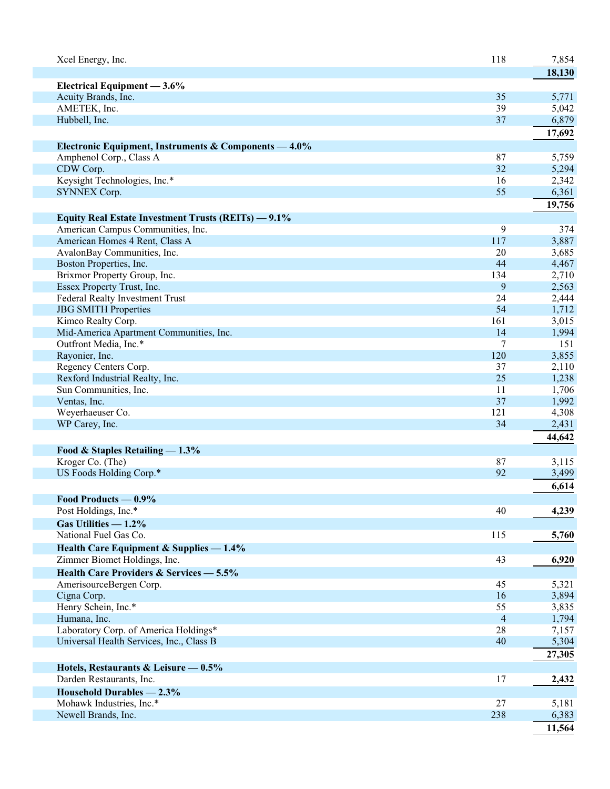| Xcel Energy, Inc.                                             | 118            | 7,854          |
|---------------------------------------------------------------|----------------|----------------|
|                                                               |                | 18,130         |
| Electrical Equipment - 3.6%                                   |                |                |
| Acuity Brands, Inc.<br>AMETEK, Inc.                           | 35             | 5,771          |
|                                                               | 39             | 5,042          |
| Hubbell, Inc.                                                 | 37             | 6,879          |
|                                                               |                | 17,692         |
| Electronic Equipment, Instruments & Components - 4.0%         |                |                |
| Amphenol Corp., Class A                                       | 87             | 5,759          |
| CDW Corp.                                                     | 32             | 5,294          |
| Keysight Technologies, Inc.*                                  | 16             | 2,342          |
| <b>SYNNEX Corp.</b>                                           | 55             | 6,361          |
|                                                               |                | 19,756         |
| Equity Real Estate Investment Trusts (REITs) - 9.1%           |                |                |
| American Campus Communities, Inc.                             | 9              | 374            |
| American Homes 4 Rent, Class A                                | 117            | 3,887          |
| AvalonBay Communities, Inc.                                   | 20             | 3,685          |
| Boston Properties, Inc.                                       | 44             | 4,467          |
| Brixmor Property Group, Inc.                                  | 134<br>9       | 2,710          |
| Essex Property Trust, Inc.<br>Federal Realty Investment Trust | 24             | 2,563          |
| <b>JBG SMITH Properties</b>                                   | 54             | 2,444<br>1,712 |
| Kimco Realty Corp.                                            | 161            | 3,015          |
| Mid-America Apartment Communities, Inc.                       | 14             | 1,994          |
| Outfront Media, Inc.*                                         | 7              | 151            |
| Rayonier, Inc.                                                | 120            | 3,855          |
| Regency Centers Corp.                                         | 37             | 2,110          |
| Rexford Industrial Realty, Inc.                               | 25             | 1,238          |
| Sun Communities, Inc.                                         | 11             | 1,706          |
| Ventas, Inc.                                                  | 37             | 1,992          |
| Weyerhaeuser Co.                                              | 121            | 4,308          |
| WP Carey, Inc.                                                | 34             | 2,431          |
|                                                               |                | 44,642         |
| Food & Staples Retailing - 1.3%                               |                |                |
| Kroger Co. (The)                                              | 87             | 3,115          |
| US Foods Holding Corp.*                                       | 92             | 3,499          |
|                                                               |                | 6,614          |
| Food Products — 0.9%                                          |                |                |
| Post Holdings, Inc.*                                          | 40             | 4,239          |
| Gas Utilities $-1.2\%$                                        |                |                |
| National Fuel Gas Co.                                         | 115            | 5,760          |
| Health Care Equipment & Supplies - 1.4%                       |                |                |
| Zimmer Biomet Holdings, Inc.                                  | 43             | 6,920          |
| Health Care Providers & Services - 5.5%                       |                |                |
| AmerisourceBergen Corp.                                       | 45             | 5,321          |
| Cigna Corp.                                                   | 16             | 3,894          |
| Henry Schein, Inc.*                                           | 55             | 3,835          |
| Humana, Inc.                                                  | $\overline{4}$ | 1,794          |
| Laboratory Corp. of America Holdings*                         | 28             | 7,157          |
| Universal Health Services, Inc., Class B                      | 40             | 5,304          |
|                                                               |                | 27,305         |
| Hotels, Restaurants & Leisure $-0.5\%$                        |                |                |
| Darden Restaurants, Inc.                                      | 17             | 2,432          |
| Household Durables - 2.3%                                     |                |                |
| Mohawk Industries, Inc.*                                      | 27             | 5,181          |
| Newell Brands, Inc.                                           | 238            | 6,383          |
|                                                               |                | 11,564         |
|                                                               |                |                |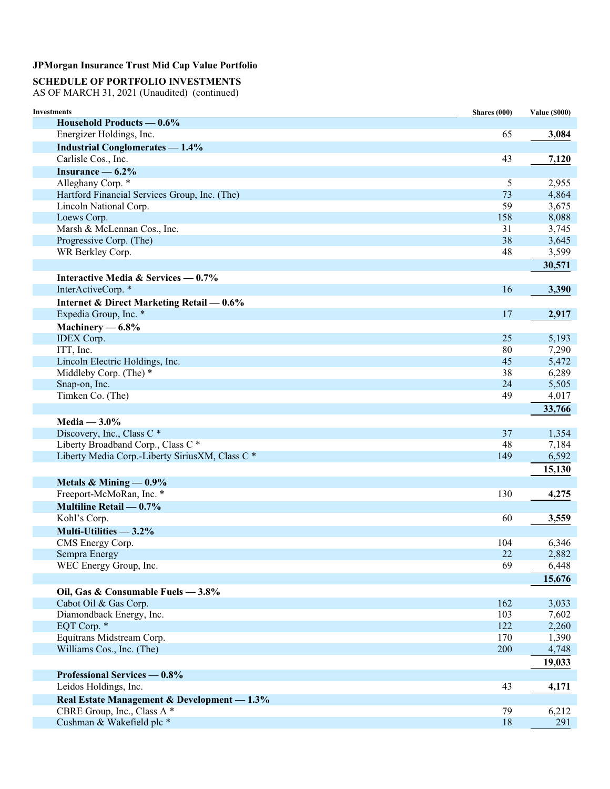# **SCHEDULE OF PORTFOLIO INVESTMENTS**

AS OF MARCH 31, 2021 (Unaudited) (continued)

| <b>Investments</b>                                     | Shares (000) | <b>Value (\$000)</b> |
|--------------------------------------------------------|--------------|----------------------|
| Household Products — 0.6%                              |              |                      |
| Energizer Holdings, Inc.                               | 65           | 3,084                |
| <b>Industrial Conglomerates - 1.4%</b>                 |              |                      |
| Carlisle Cos., Inc.                                    | 43           | 7,120                |
| Insurance $-6.2\%$                                     |              |                      |
| Alleghany Corp. *                                      | 5            | 2,955                |
| Hartford Financial Services Group, Inc. (The)          | 73           | 4,864                |
| Lincoln National Corp.                                 | 59           | 3,675                |
| Loews Corp.                                            | 158          | 8,088                |
| Marsh & McLennan Cos., Inc.                            | 31           | 3,745                |
| Progressive Corp. (The)                                | 38           | 3,645                |
| WR Berkley Corp.                                       | 48           | 3,599                |
|                                                        |              | 30,571               |
| Interactive Media & Services $-0.7\%$                  |              |                      |
| InterActiveCorp. *                                     | 16           | 3,390                |
| Internet & Direct Marketing Retail - 0.6%              |              |                      |
| Expedia Group, Inc. *                                  | 17           | 2,917                |
| Machinery $-6.8\%$                                     |              |                      |
| <b>IDEX</b> Corp.                                      | 25           | 5,193                |
| ITT, Inc.                                              | 80           | 7,290                |
| Lincoln Electric Holdings, Inc.                        | 45           | 5,472                |
| Middleby Corp. (The) *                                 | 38           | 6,289                |
| Snap-on, Inc.                                          | 24           | 5,505                |
| Timken Co. (The)                                       | 49           | 4,017                |
|                                                        |              | 33,766               |
| Media $-3.0\%$                                         |              |                      |
| Discovery, Inc., Class C <sup>*</sup>                  | 37           | 1,354                |
| Liberty Broadband Corp., Class C*                      | 48           | 7,184                |
| Liberty Media Corp.-Liberty SiriusXM, Class C *        | 149          | 6,592                |
|                                                        |              | 15,130               |
| Metals & Mining $-0.9\%$                               |              |                      |
| Freeport-McMoRan, Inc. *                               | 130          | 4,275                |
| Multiline Retail — 0.7%                                |              |                      |
| Kohl's Corp.                                           | 60           | 3,559                |
| Multi-Utilities - 3.2%                                 |              |                      |
|                                                        |              |                      |
| CMS Energy Corp.<br>Sempra Energy                      | 104<br>22    | 6,346<br>2,882       |
| WEC Energy Group, Inc.                                 | 69           | 6,448                |
|                                                        |              | 15,676               |
|                                                        |              |                      |
| Oil, Gas & Consumable Fuels - 3.8%                     |              |                      |
| Cabot Oil & Gas Corp.                                  | 162          | 3,033                |
| Diamondback Energy, Inc.                               | 103          | 7,602                |
| EQT Corp. *                                            | 122          | 2,260                |
| Equitrans Midstream Corp.<br>Williams Cos., Inc. (The) | 170<br>200   | 1,390<br>4,748       |
|                                                        |              |                      |
|                                                        |              | 19,033               |
| Professional Services — 0.8%                           |              |                      |
| Leidos Holdings, Inc.                                  | 43           | 4,171                |
| Real Estate Management & Development - 1.3%            |              |                      |
| CBRE Group, Inc., Class A *                            | 79           | 6,212                |
| Cushman & Wakefield plc *                              | 18           | 291                  |
|                                                        |              |                      |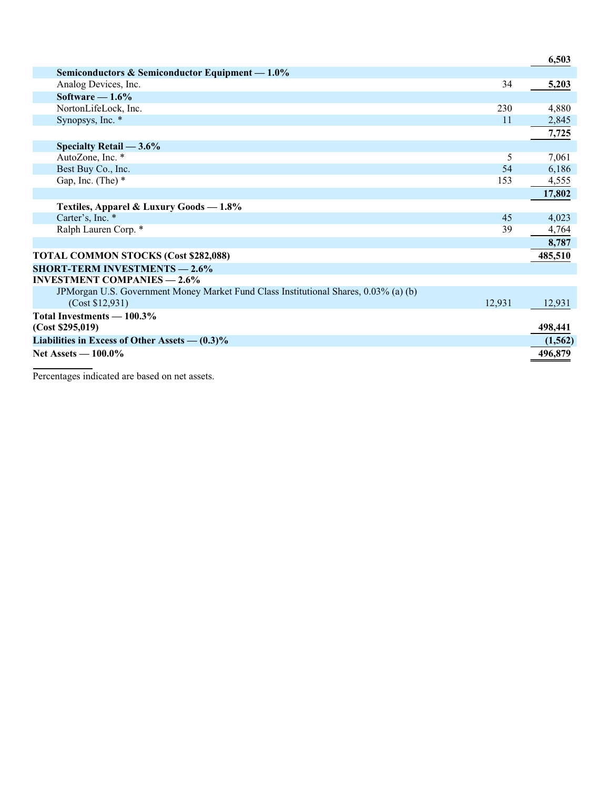|                                                                                      |               | 6,503    |
|--------------------------------------------------------------------------------------|---------------|----------|
| Semiconductors & Semiconductor Equipment $-1.0\%$                                    |               |          |
| Analog Devices, Inc.                                                                 | 34            | 5,203    |
| Software $-1.6\%$                                                                    |               |          |
| NortonLifeLock, Inc.                                                                 | 230           | 4,880    |
| Synopsys, Inc. *                                                                     | <sup>11</sup> | 2,845    |
|                                                                                      |               | 7,725    |
| Specialty Retail $-3.6\%$                                                            |               |          |
| AutoZone, Inc. *                                                                     | 5             | 7,061    |
| Best Buy Co., Inc.                                                                   | 54            | 6,186    |
| Gap, Inc. (The) $*$                                                                  | 153           | 4,555    |
|                                                                                      |               | 17,802   |
| Textiles, Apparel & Luxury Goods - 1.8%                                              |               |          |
| Carter's, Inc. *                                                                     | 45            | 4,023    |
| Ralph Lauren Corp. *                                                                 | 39            | 4,764    |
|                                                                                      |               | 8,787    |
| <b>TOTAL COMMON STOCKS (Cost \$282,088)</b>                                          |               | 485,510  |
| <b>SHORT-TERM INVESTMENTS - 2.6%</b>                                                 |               |          |
| <b>INVESTMENT COMPANIES — 2.6%</b>                                                   |               |          |
| JPMorgan U.S. Government Money Market Fund Class Institutional Shares, 0.03% (a) (b) |               |          |
| (Cost \$12,931)                                                                      | 12,931        | 12,931   |
| Total Investments - 100.3%                                                           |               |          |
| (Cost \$295,019)                                                                     |               | 498,441  |
| Liabilities in Excess of Other Assets $- (0.3)\%$                                    |               | (1, 562) |
| <b>Net Assets — 100.0%</b>                                                           |               | 496,879  |
|                                                                                      |               |          |

Percentages indicated are based on net assets.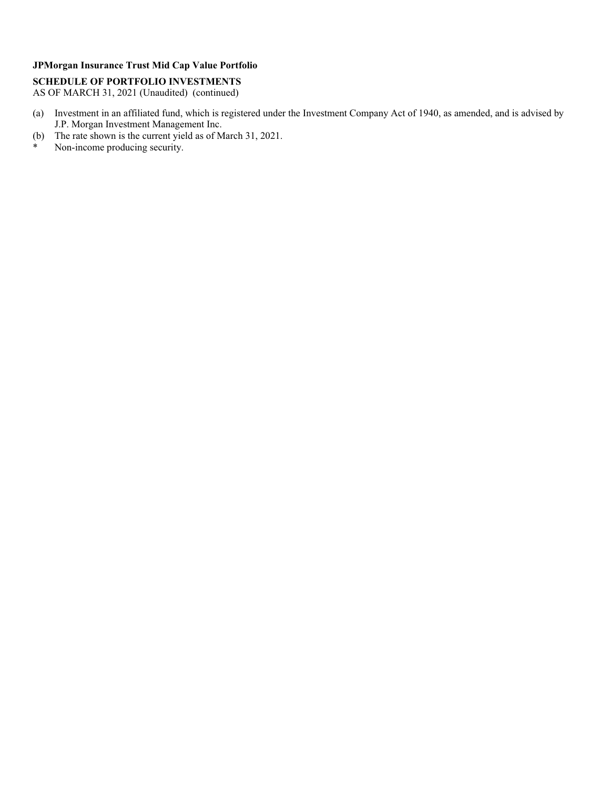### **SCHEDULE OF PORTFOLIO INVESTMENTS**

AS OF MARCH 31, 2021 (Unaudited) (continued)

- (a) Investment in an affiliated fund, which is registered under the Investment Company Act of 1940, as amended, and is advised by J.P. Morgan Investment Management Inc.
- (b) The rate shown is the current yield as of March 31, 2021.
- \* Non-income producing security.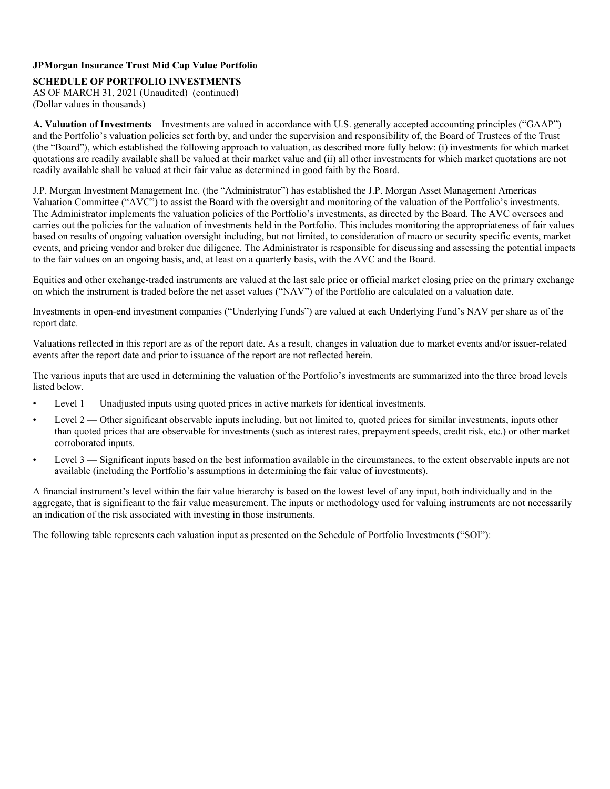#### **SCHEDULE OF PORTFOLIO INVESTMENTS**

AS OF MARCH 31, 2021 (Unaudited) (continued) (Dollar values in thousands)

**A. Valuation of Investments** – Investments are valued in accordance with U.S. generally accepted accounting principles ("GAAP") and the Portfolio's valuation policies set forth by, and under the supervision and responsibility of, the Board of Trustees of the Trust (the "Board"), which established the following approach to valuation, as described more fully below: (i) investments for which market quotations are readily available shall be valued at their market value and (ii) all other investments for which market quotations are not readily available shall be valued at their fair value as determined in good faith by the Board.

J.P. Morgan Investment Management Inc. (the "Administrator") has established the J.P. Morgan Asset Management Americas Valuation Committee ("AVC") to assist the Board with the oversight and monitoring of the valuation of the Portfolio's investments. The Administrator implements the valuation policies of the Portfolio's investments, as directed by the Board. The AVC oversees and carries out the policies for the valuation of investments held in the Portfolio. This includes monitoring the appropriateness of fair values based on results of ongoing valuation oversight including, but not limited, to consideration of macro or security specific events, market events, and pricing vendor and broker due diligence. The Administrator is responsible for discussing and assessing the potential impacts to the fair values on an ongoing basis, and, at least on a quarterly basis, with the AVC and the Board.

Equities and other exchange-traded instruments are valued at the last sale price or official market closing price on the primary exchange on which the instrument is traded before the net asset values ("NAV") of the Portfolio are calculated on a valuation date.

Investments in open-end investment companies ("Underlying Funds") are valued at each Underlying Fund's NAV per share as of the report date.

Valuations reflected in this report are as of the report date. As a result, changes in valuation due to market events and/or issuer-related events after the report date and prior to issuance of the report are not reflected herein.

The various inputs that are used in determining the valuation of the Portfolio's investments are summarized into the three broad levels listed below.

- Level 1 Unadjusted inputs using quoted prices in active markets for identical investments.
- Level 2 Other significant observable inputs including, but not limited to, quoted prices for similar investments, inputs other than quoted prices that are observable for investments (such as interest rates, prepayment speeds, credit risk, etc.) or other market corroborated inputs.
- Level 3 Significant inputs based on the best information available in the circumstances, to the extent observable inputs are not available (including the Portfolio's assumptions in determining the fair value of investments).

A financial instrument's level within the fair value hierarchy is based on the lowest level of any input, both individually and in the aggregate, that is significant to the fair value measurement. The inputs or methodology used for valuing instruments are not necessarily an indication of the risk associated with investing in those instruments.

The following table represents each valuation input as presented on the Schedule of Portfolio Investments ("SOI"):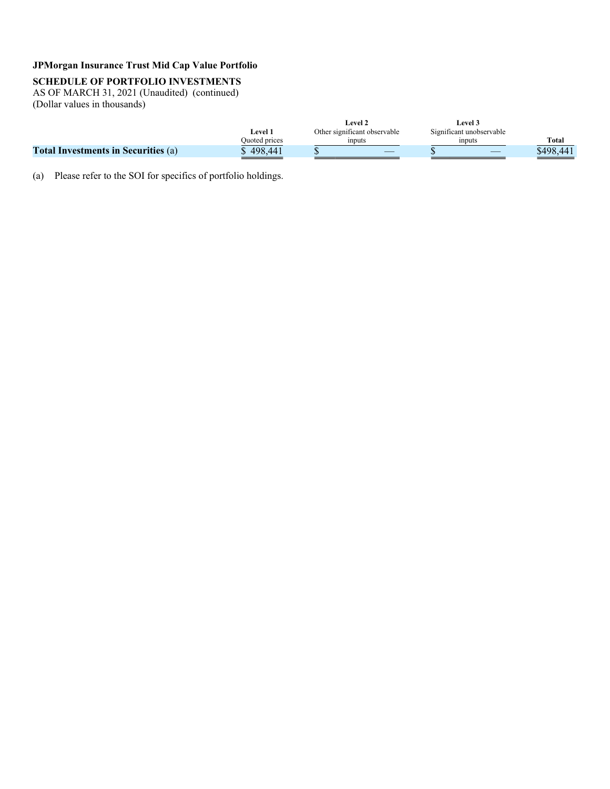### **SCHEDULE OF PORTFOLIO INVESTMENTS**

AS OF MARCH 31, 2021 (Unaudited) (continued) (Dollar values in thousands)

|                                            |                | Level 2                      | Level 3                  |           |
|--------------------------------------------|----------------|------------------------------|--------------------------|-----------|
|                                            | <b>Level 7</b> | Other significant observable | Significant unobservable |           |
|                                            | Quoted prices  | inputs                       | ınputs                   | Total     |
| <b>Total Investments in Securities (a)</b> | 498.441        |                              |                          | \$498.441 |

(a) Please refer to the SOI for specifics of portfolio holdings.